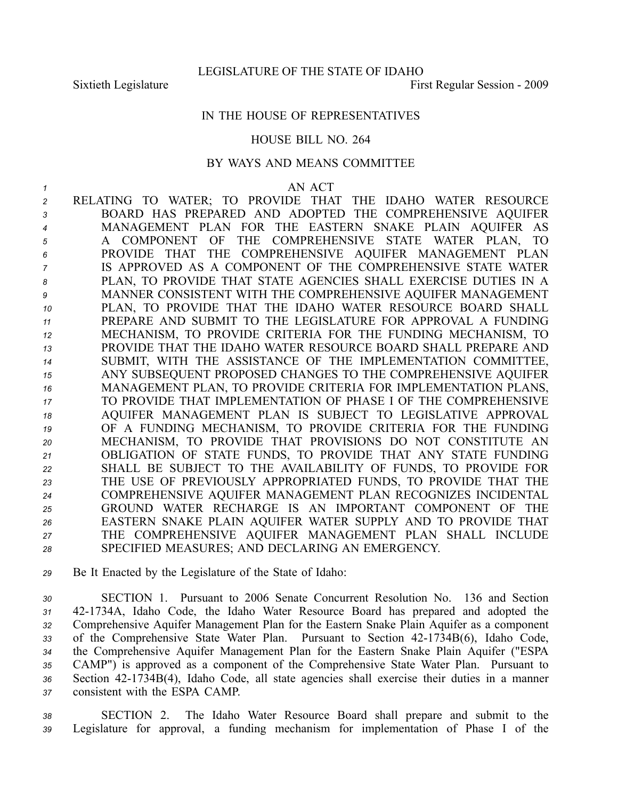LEGISLATURE OF THE STATE OF IDAHO

Sixtieth Legislature **First Regular Session** - 2009

## IN THE HOUSE OF REPRESENTATIVES

## HOUSE BILL NO. 264

## BY WAYS AND MEANS COMMITTEE

*1* AN ACT

 RELATING TO WATER; TO PROVIDE THAT THE IDAHO WATER RESOURCE BOARD HAS PREPARED AND ADOPTED THE COMPREHENSIVE AQUIFER MANAGEMENT PLAN FOR THE EASTERN SNAKE PLAIN AQUIFER AS A COMPONENT OF THE COMPREHENSIVE STATE WATER PLAN, TO PROVIDE THAT THE COMPREHENSIVE AQUIFER MANAGEMENT PLAN IS APPROVED AS A COMPONENT OF THE COMPREHENSIVE STATE WATER PLAN, TO PROVIDE THAT STATE AGENCIES SHALL EXERCISE DUTIES IN A MANNER CONSISTENT WITH THE COMPREHENSIVE AQUIFER MANAGEMENT PLAN, TO PROVIDE THAT THE IDAHO WATER RESOURCE BOARD SHALL PREPARE AND SUBMIT TO THE LEGISLATURE FOR APPROVAL A FUNDING MECHANISM, TO PROVIDE CRITERIA FOR THE FUNDING MECHANISM, TO PROVIDE THAT THE IDAHO WATER RESOURCE BOARD SHALL PREPARE AND SUBMIT, WITH THE ASSISTANCE OF THE IMPLEMENTATION COMMITTEE, ANY SUBSEQUENT PROPOSED CHANGES TO THE COMPREHENSIVE AQUIFER MANAGEMENT PLAN, TO PROVIDE CRITERIA FOR IMPLEMENTATION PLANS, TO PROVIDE THAT IMPLEMENTATION OF PHASE I OF THE COMPREHENSIVE AQUIFER MANAGEMENT PLAN IS SUBJECT TO LEGISLATIVE APPROVAL OF A FUNDING MECHANISM, TO PROVIDE CRITERIA FOR THE FUNDING MECHANISM, TO PROVIDE THAT PROVISIONS DO NOT CONSTITUTE AN OBLIGATION OF STATE FUNDS, TO PROVIDE THAT ANY STATE FUNDING SHALL BE SUBJECT TO THE AVAILABILITY OF FUNDS, TO PROVIDE FOR THE USE OF PREVIOUSLY APPROPRIATED FUNDS, TO PROVIDE THAT THE COMPREHENSIVE AQUIFER MANAGEMENT PLAN RECOGNIZES INCIDENTAL GROUND WATER RECHARGE IS AN IMPORTANT COMPONENT OF THE EASTERN SNAKE PLAIN AQUIFER WATER SUPPLY AND TO PROVIDE THAT THE COMPREHENSIVE AQUIFER MANAGEMENT PLAN SHALL INCLUDE SPECIFIED MEASURES; AND DECLARING AN EMERGENCY.

*<sup>29</sup>* Be It Enacted by the Legislature of the State of Idaho:

 SECTION 1. Pursuant to 2006 Senate Concurrent Resolution No. 136 and Section 421734A, Idaho Code, the Idaho Water Resource Board has prepared and adopted the Comprehensive Aquifer Management Plan for the Eastern Snake Plain Aquifer as <sup>a</sup> componen<sup>t</sup> 33 of the Comprehensive State Water Plan. Pursuant to Section 42-1734B(6), Idaho Code, the Comprehensive Aquifer Management Plan for the Eastern Snake Plain Aquifer ("ESPA CAMP") is approved as <sup>a</sup> componen<sup>t</sup> of the Comprehensive State Water Plan. Pursuant to Section 421734B(4), Idaho Code, all state agencies shall exercise their duties in <sup>a</sup> manner consistent with the ESPA CAMP.

*<sup>38</sup>* SECTION 2. The Idaho Water Resource Board shall prepare and submit to the *<sup>39</sup>* Legislature for approval, <sup>a</sup> funding mechanism for implementation of Phase I of the